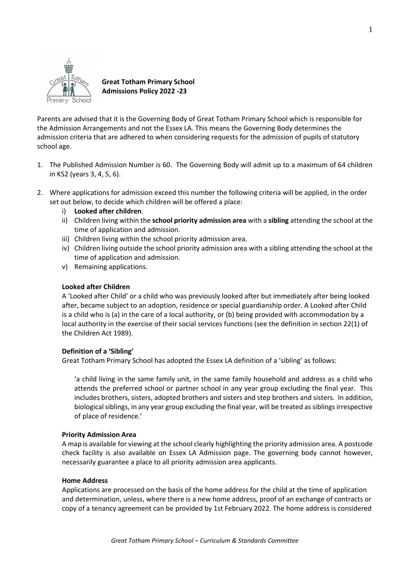

# **Great Totham Primary School Admissions Policy 2022 -23**

Parents are advised that it is the Governing Body of Great Totham Primary School which is responsible for the Admission Arrangements and not the Essex LA. This means the Governing Body determines the admission criteria that are adhered to when considering requests for the admission of pupils of statutory school age.

- 1. The Published Admission Number is 60. The Governing Body will admit up to a maximum of 64 children in KS2 (years 3, 4, 5, 6).
- 2. Where applications for admission exceed this number the following criteria will be applied, in the order set out below, to decide which children will be offered a place:
	- i) **Looked after children**.
	- ii) Children living within the **school priority admission area** with a **sibling** attending the school at the time of application and admission.
	- iii) Children living within the school priority admission area.
	- iv) Children living outside the school priority admission area with a sibling attending the school at the time of application and admission.
	- v) Remaining applications.

# **Looked after Children**

A 'Looked after Child' or a child who was previously looked after but immediately after being looked after, became subject to an adoption, residence or special guardianship order. A Looked after Child is a child who is (a) in the care of a local authority, or (b) being provided with accommodation by a local authority in the exercise of their social services functions (see the definition in section 22(1) of the Children Act 1989).

# **Definition of a 'Sibling'**

Great Totham Primary School has adopted the Essex LA definition of a 'sibling' as follows:

'a child living in the same family unit, in the same family household and address as a child who attends the preferred school or partner school in any year group excluding the final year. This includes brothers, sisters, adopted brothers and sisters and step brothers and sisters. In addition, biological siblings, in any year group excluding the final year, will be treated as siblings irrespective of place of residence.'

# **Priority Admission Area**

A map is available for viewing at the school clearly highlighting the priority admission area. A postcode check facility is also available on Essex LA Admission page. The governing body cannot however, necessarily guarantee a place to all priority admission area applicants.

# **Home Address**

Applications are processed on the basis of the home address for the child at the time of application and determination, unless, where there is a new home address, proof of an exchange of contracts or copy of a tenancy agreement can be provided by 1st February 2022. The home address is considered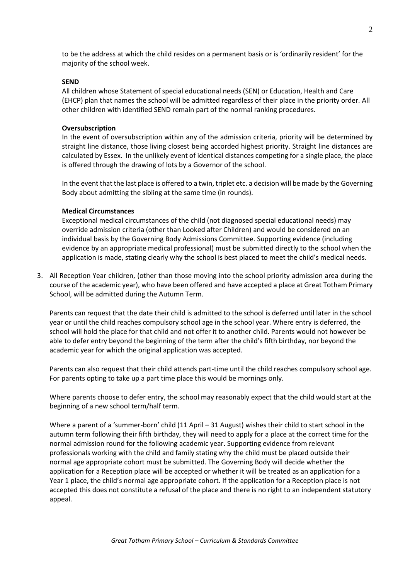to be the address at which the child resides on a permanent basis or is 'ordinarily resident' for the majority of the school week.

#### **SEND**

All children whose Statement of special educational needs (SEN) or Education, Health and Care (EHCP) plan that names the school will be admitted regardless of their place in the priority order. All other children with identified SEND remain part of the normal ranking procedures.

#### **Oversubscription**

In the event of oversubscription within any of the admission criteria, priority will be determined by straight line distance, those living closest being accorded highest priority. Straight line distances are calculated by Essex. In the unlikely event of identical distances competing for a single place, the place is offered through the drawing of lots by a Governor of the school.

In the event that the last place is offered to a twin, triplet etc. a decision will be made by the Governing Body about admitting the sibling at the same time (in rounds).

#### **Medical Circumstances**

Exceptional medical circumstances of the child (not diagnosed special educational needs) may override admission criteria (other than Looked after Children) and would be considered on an individual basis by the Governing Body Admissions Committee. Supporting evidence (including evidence by an appropriate medical professional) must be submitted directly to the school when the application is made, stating clearly why the school is best placed to meet the child's medical needs.

3. All Reception Year children, (other than those moving into the school priority admission area during the course of the academic year), who have been offered and have accepted a place at Great Totham Primary School, will be admitted during the Autumn Term.

Parents can request that the date their child is admitted to the school is deferred until later in the school year or until the child reaches compulsory school age in the school year. Where entry is deferred, the school will hold the place for that child and not offer it to another child. Parents would not however be able to defer entry beyond the beginning of the term after the child's fifth birthday, nor beyond the academic year for which the original application was accepted.

Parents can also request that their child attends part-time until the child reaches compulsory school age. For parents opting to take up a part time place this would be mornings only.

Where parents choose to defer entry, the school may reasonably expect that the child would start at the beginning of a new school term/half term.

Where a parent of a 'summer-born' child (11 April – 31 August) wishes their child to start school in the autumn term following their fifth birthday, they will need to apply for a place at the correct time for the normal admission round for the following academic year. Supporting evidence from relevant professionals working with the child and family stating why the child must be placed outside their normal age appropriate cohort must be submitted. The Governing Body will decide whether the application for a Reception place will be accepted or whether it will be treated as an application for a Year 1 place, the child's normal age appropriate cohort. If the application for a Reception place is not accepted this does not constitute a refusal of the place and there is no right to an independent statutory appeal.